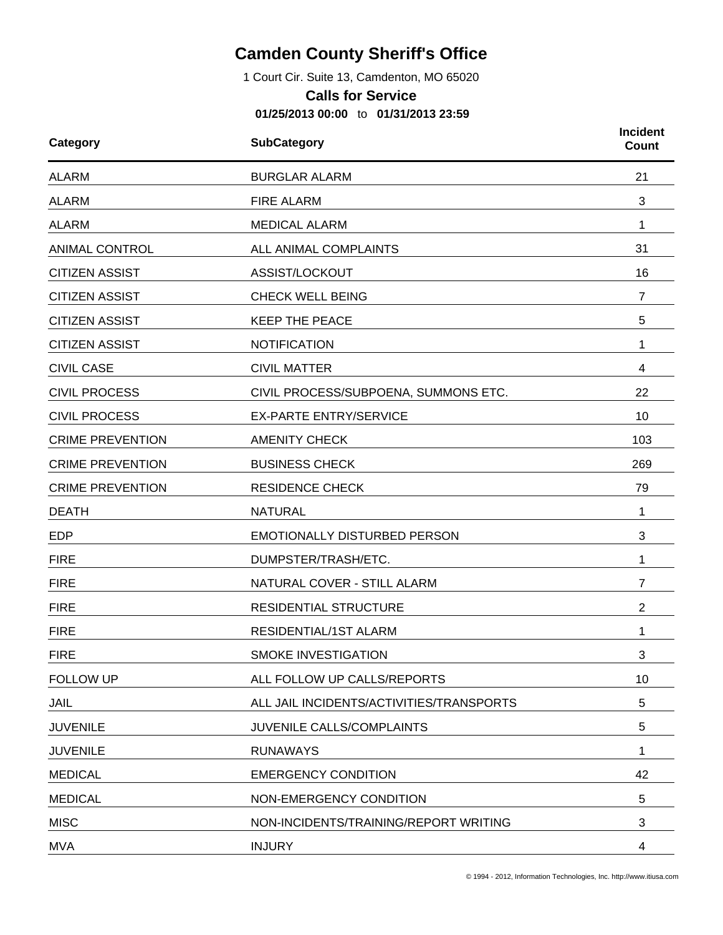## **Camden County Sheriff's Office**

1 Court Cir. Suite 13, Camdenton, MO 65020

## **Calls for Service**

**01/25/2013 00:00** to **01/31/2013 23:59**

| Category                | <b>SubCategory</b>                       | <b>Incident</b><br><b>Count</b> |
|-------------------------|------------------------------------------|---------------------------------|
| <b>ALARM</b>            | <b>BURGLAR ALARM</b>                     |                                 |
| <b>ALARM</b>            | <b>FIRE ALARM</b>                        | 3                               |
| <b>ALARM</b>            | <b>MEDICAL ALARM</b>                     | 1                               |
| <b>ANIMAL CONTROL</b>   | ALL ANIMAL COMPLAINTS                    | 31                              |
| <b>CITIZEN ASSIST</b>   | ASSIST/LOCKOUT                           | 16                              |
| <b>CITIZEN ASSIST</b>   | <b>CHECK WELL BEING</b>                  | $\overline{7}$                  |
| <b>CITIZEN ASSIST</b>   | <b>KEEP THE PEACE</b>                    | 5                               |
| <b>CITIZEN ASSIST</b>   | <b>NOTIFICATION</b>                      | 1                               |
| <b>CIVIL CASE</b>       | <b>CIVIL MATTER</b>                      | 4                               |
| <b>CIVIL PROCESS</b>    | CIVIL PROCESS/SUBPOENA, SUMMONS ETC.     | 22                              |
| <b>CIVIL PROCESS</b>    | <b>EX-PARTE ENTRY/SERVICE</b>            | 10                              |
| <b>CRIME PREVENTION</b> | <b>AMENITY CHECK</b>                     | 103                             |
| <b>CRIME PREVENTION</b> | <b>BUSINESS CHECK</b>                    | 269                             |
| <b>CRIME PREVENTION</b> | <b>RESIDENCE CHECK</b>                   | 79                              |
| <b>DEATH</b>            | <b>NATURAL</b>                           | 1                               |
| <b>EDP</b>              | EMOTIONALLY DISTURBED PERSON             | 3                               |
| <b>FIRE</b>             | DUMPSTER/TRASH/ETC.                      | 1                               |
| <b>FIRE</b>             | NATURAL COVER - STILL ALARM              | 7                               |
| <b>FIRE</b>             | <b>RESIDENTIAL STRUCTURE</b>             | $\overline{2}$                  |
| <b>FIRE</b>             | RESIDENTIAL/1ST ALARM                    | 1                               |
| <b>FIRE</b>             | <b>SMOKE INVESTIGATION</b>               | З                               |
| <b>FOLLOW UP</b>        | ALL FOLLOW UP CALLS/REPORTS              | 10                              |
| JAIL                    | ALL JAIL INCIDENTS/ACTIVITIES/TRANSPORTS | 5                               |
| <b>JUVENILE</b>         | JUVENILE CALLS/COMPLAINTS                | 5                               |
| <b>JUVENILE</b>         | <b>RUNAWAYS</b>                          | 1                               |
| <b>MEDICAL</b>          | <b>EMERGENCY CONDITION</b>               | 42                              |
| <b>MEDICAL</b>          | NON-EMERGENCY CONDITION                  | 5                               |
| <b>MISC</b>             | NON-INCIDENTS/TRAINING/REPORT WRITING    | 3                               |
| <b>MVA</b>              | <b>INJURY</b>                            | 4                               |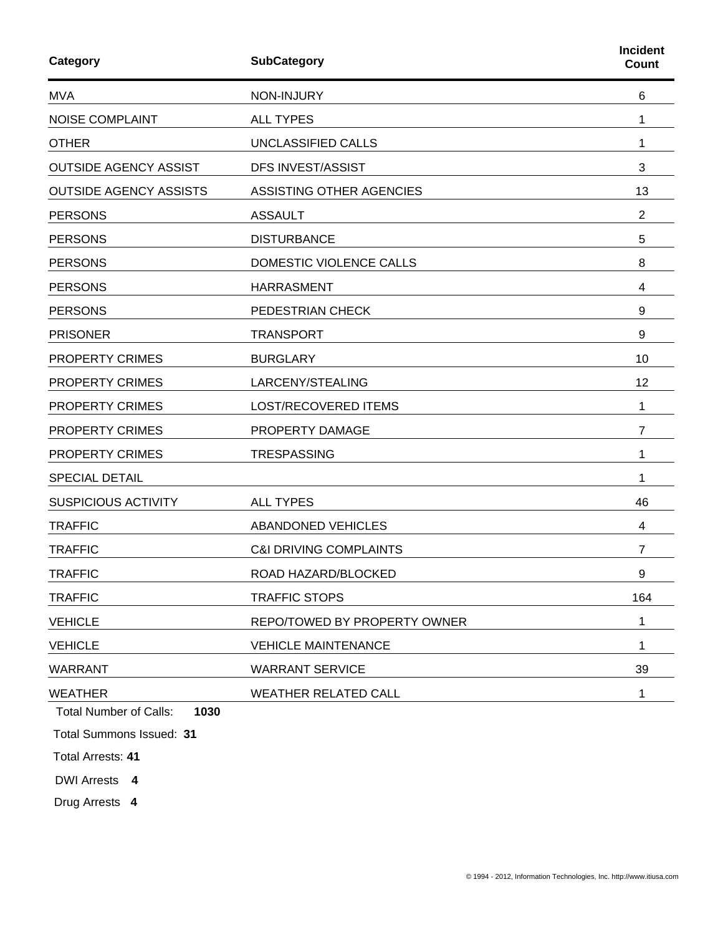| <b>SubCategory</b>                |                |
|-----------------------------------|----------------|
| NON-INJURY                        | 6              |
| <b>ALL TYPES</b>                  | 1              |
| UNCLASSIFIED CALLS                | 1              |
| DFS INVEST/ASSIST                 | 3              |
| ASSISTING OTHER AGENCIES          | 13             |
| <b>ASSAULT</b>                    | $\overline{2}$ |
| <b>DISTURBANCE</b>                | 5              |
| DOMESTIC VIOLENCE CALLS           | 8              |
| <b>HARRASMENT</b>                 | 4              |
| PEDESTRIAN CHECK                  | 9              |
| <b>TRANSPORT</b>                  | 9              |
| <b>BURGLARY</b>                   | 10             |
| LARCENY/STEALING                  | 12             |
| <b>LOST/RECOVERED ITEMS</b>       | 1              |
| PROPERTY DAMAGE                   | 7              |
| <b>TRESPASSING</b>                | 1              |
|                                   | 1              |
| <b>ALL TYPES</b>                  | 46             |
| <b>ABANDONED VEHICLES</b>         | 4              |
| <b>C&amp;I DRIVING COMPLAINTS</b> | 7              |
| ROAD HAZARD/BLOCKED               | 9              |
| <b>TRAFFIC STOPS</b>              | 164            |
| REPO/TOWED BY PROPERTY OWNER      | 1              |
| <b>VEHICLE MAINTENANCE</b>        | 1              |
| <b>WARRANT SERVICE</b>            | 39             |
| <b>WEATHER RELATED CALL</b>       | 1              |
|                                   |                |

Total Number of Calls: **1030**

Total Summons Issued: **31**

Total Arrests: **41**

DWI Arrests **4**

Drug Arrests **4**